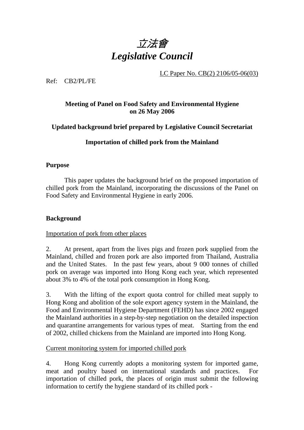

LC Paper No. CB(2) 2106/05-06(03)

Ref: CB2/PL/FE

# **Meeting of Panel on Food Safety and Environmental Hygiene on 26 May 2006**

# **Updated background brief prepared by Legislative Council Secretariat**

# **Importation of chilled pork from the Mainland**

## **Purpose**

This paper updates the background brief on the proposed importation of chilled pork from the Mainland, incorporating the discussions of the Panel on Food Safety and Environmental Hygiene in early 2006.

## **Background**

## Importation of pork from other places

2. At present, apart from the lives pigs and frozen pork supplied from the Mainland, chilled and frozen pork are also imported from Thailand, Australia and the United States. In the past few years, about 9 000 tonnes of chilled pork on average was imported into Hong Kong each year, which represented about 3% to 4% of the total pork consumption in Hong Kong.

3. With the lifting of the export quota control for chilled meat supply to Hong Kong and abolition of the sole export agency system in the Mainland, the Food and Environmental Hygiene Department (FEHD) has since 2002 engaged the Mainland authorities in a step-by-step negotiation on the detailed inspection and quarantine arrangements for various types of meat. Starting from the end of 2002, chilled chickens from the Mainland are imported into Hong Kong.

# Current monitoring system for imported chilled pork

4. Hong Kong currently adopts a monitoring system for imported game, meat and poultry based on international standards and practices. For importation of chilled pork, the places of origin must submit the following information to certify the hygiene standard of its chilled pork -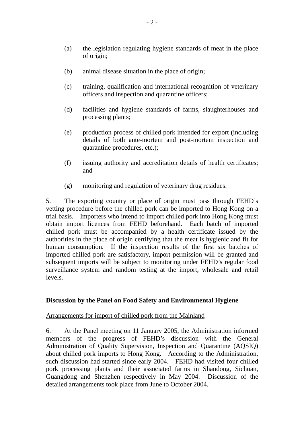- (a) the legislation regulating hygiene standards of meat in the place of origin;
- (b) animal disease situation in the place of origin;
- (c) training, qualification and international recognition of veterinary officers and inspection and quarantine officers;
- (d) facilities and hygiene standards of farms, slaughterhouses and processing plants;
- (e) production process of chilled pork intended for export (including details of both ante-mortem and post-mortem inspection and quarantine procedures, etc.);
- (f) issuing authority and accreditation details of health certificates; and
- (g) monitoring and regulation of veterinary drug residues.

5. The exporting country or place of origin must pass through FEHD's vetting procedure before the chilled pork can be imported to Hong Kong on a trial basis. Importers who intend to import chilled pork into Hong Kong must obtain import licences from FEHD beforehand. Each batch of imported chilled pork must be accompanied by a health certificate issued by the authorities in the place of origin certifying that the meat is hygienic and fit for human consumption. If the inspection results of the first six batches of imported chilled pork are satisfactory, import permission will be granted and subsequent imports will be subject to monitoring under FEHD's regular food surveillance system and random testing at the import, wholesale and retail levels.

#### **Discussion by the Panel on Food Safety and Environmental Hygiene**

#### Arrangements for import of chilled pork from the Mainland

6. At the Panel meeting on 11 January 2005, the Administration informed members of the progress of FEHD's discussion with the General Administration of Quality Supervision, Inspection and Quarantine (AQSIQ) about chilled pork imports to Hong Kong. According to the Administration, such discussion had started since early 2004. FEHD had visited four chilled pork processing plants and their associated farms in Shandong, Sichuan, Guangdong and Shenzhen respectively in May 2004. Discussion of the detailed arrangements took place from June to October 2004.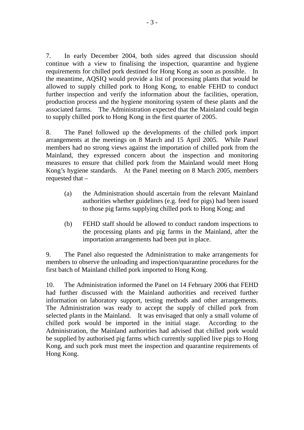7. In early December 2004, both sides agreed that discussion should continue with a view to finalising the inspection, quarantine and hygiene requirements for chilled pork destined for Hong Kong as soon as possible. In the meantime, AQSIQ would provide a list of processing plants that would be allowed to supply chilled pork to Hong Kong, to enable FEHD to conduct further inspection and verify the information about the facilities, operation, production process and the hygiene monitoring system of these plants and the associated farms. The Administration expected that the Mainland could begin to supply chilled pork to Hong Kong in the first quarter of 2005.

8. The Panel followed up the developments of the chilled pork import arrangements at the meetings on 8 March and 15 April 2005. While Panel members had no strong views against the importation of chilled pork from the Mainland, they expressed concern about the inspection and monitoring measures to ensure that chilled pork from the Mainland would meet Hong Kong's hygiene standards. At the Panel meeting on 8 March 2005, members requested that –

- (a) the Administration should ascertain from the relevant Mainland authorities whether guidelines (e.g. feed for pigs) had been issued to those pig farms supplying chilled pork to Hong Kong; and
- (b) FEHD staff should be allowed to conduct random inspections to the processing plants and pig farms in the Mainland, after the importation arrangements had been put in place.

9. The Panel also requested the Administration to make arrangements for members to observe the unloading and inspection/quarantine procedures for the first batch of Mainland chilled pork imported to Hong Kong.

10. The Administration informed the Panel on 14 February 2006 that FEHD had further discussed with the Mainland authorities and received further information on laboratory support, testing methods and other arrangements. The Administration was ready to accept the supply of chilled pork from selected plants in the Mainland. It was envisaged that only a small volume of chilled pork would be imported in the initial stage. According to the Administration, the Mainland authorities had advised that chilled pork would be supplied by authorised pig farms which currently supplied live pigs to Hong Kong, and such pork must meet the inspection and quarantine requirements of Hong Kong.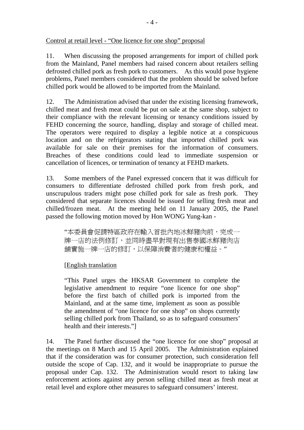## Control at retail level - "One licence for one shop" proposal

11. When discussing the proposed arrangements for import of chilled pork from the Mainland, Panel members had raised concern about retailers selling defrosted chilled pork as fresh pork to customers. As this would pose hygiene problems, Panel members considered that the problem should be solved before chilled pork would be allowed to be imported from the Mainland.

12. The Administration advised that under the existing licensing framework, chilled meat and fresh meat could be put on sale at the same shop, subject to their compliance with the relevant licensing or tenancy conditions issued by FEHD concerning the source, handling, display and storage of chilled meat. The operators were required to display a legible notice at a conspicuous location and on the refrigerators stating that imported chilled pork was available for sale on their premises for the information of consumers. Breaches of these conditions could lead to immediate suspension or cancellation of licences, or termination of tenancy at FEHD markets.

13. Some members of the Panel expressed concern that it was difficult for consumers to differentiate defrosted chilled pork from fresh pork, and unscrupulous traders might pose chilled pork for sale as fresh pork. They considered that separate licences should be issued for selling fresh meat and chilled/frozen meat. At the meeting held on 11 January 2005, the Panel passed the following motion moved by Hon WONG Yung-kan -

"本委員會促請特區政府在輸入首批內地冰鮮豬肉前,完成一 牌一店的法例修訂,並同時盡早對現有出售泰國冰鮮豬肉店 舖實施一牌一店的修訂,以保障消費者的健康和權益。"

# [English translation

"This Panel urges the HKSAR Government to complete the legislative amendment to require "one licence for one shop" before the first batch of chilled pork is imported from the Mainland, and at the same time, implement as soon as possible the amendment of "one licence for one shop" on shops currently selling chilled pork from Thailand, so as to safeguard consumers' health and their interests."]

14. The Panel further discussed the "one licence for one shop" proposal at the meetings on 8 March and 15 April 2005. The Administration explained that if the consideration was for consumer protection, such consideration fell outside the scope of Cap. 132, and it would be inappropriate to pursue the proposal under Cap. 132. The Administration would resort to taking law enforcement actions against any person selling chilled meat as fresh meat at retail level and explore other measures to safeguard consumers' interest.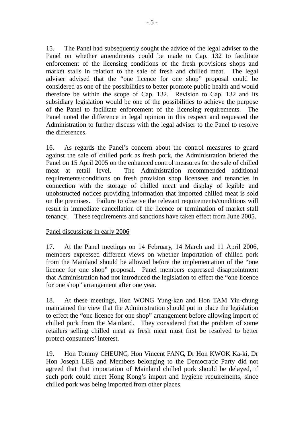15. The Panel had subsequently sought the advice of the legal adviser to the Panel on whether amendments could be made to Cap. 132 to facilitate enforcement of the licensing conditions of the fresh provisions shops and market stalls in relation to the sale of fresh and chilled meat. The legal adviser advised that the "one licence for one shop" proposal could be considered as one of the possibilities to better promote public health and would therefore be within the scope of Cap. 132. Revision to Cap. 132 and its subsidiary legislation would be one of the possibilities to achieve the purpose of the Panel to facilitate enforcement of the licensing requirements. The Panel noted the difference in legal opinion in this respect and requested the Administration to further discuss with the legal adviser to the Panel to resolve the differences.

16. As regards the Panel's concern about the control measures to guard against the sale of chilled pork as fresh pork, the Administration briefed the Panel on 15 April 2005 on the enhanced control measures for the sale of chilled meat at retail level. The Administration recommended additional requirements/conditions on fresh provision shop licensees and tenancies in connection with the storage of chilled meat and display of legible and unobstructed notices providing information that imported chilled meat is sold on the premises. Failure to observe the relevant requirements/conditions will result in immediate cancellation of the licence or termination of market stall tenancy. These requirements and sanctions have taken effect from June 2005.

## Panel discussions in early 2006

17. At the Panel meetings on 14 February, 14 March and 11 April 2006, members expressed different views on whether importation of chilled pork from the Mainland should be allowed before the implementation of the "one licence for one shop" proposal. Panel members expressed disappointment that Administration had not introduced the legislation to effect the "one licence for one shop" arrangement after one year.

18. At these meetings, Hon WONG Yung-kan and Hon TAM Yiu-chung maintained the view that the Administration should put in place the legislation to effect the "one licence for one shop" arrangement before allowing import of chilled pork from the Mainland. They considered that the problem of some retailers selling chilled meat as fresh meat must first be resolved to better protect consumers' interest.

19. Hon Tommy CHEUNG, Hon Vincent FANG, Dr Hon KWOK Ka-ki, Dr Hon Joseph LEE and Members belonging to the Democratic Party did not agreed that that importation of Mainland chilled pork should be delayed, if such pork could meet Hong Kong's import and hygiene requirements, since chilled pork was being imported from other places.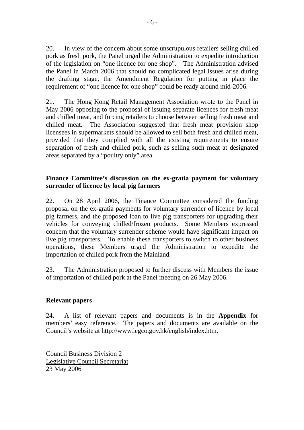20. In view of the concern about some unscrupulous retailers selling chilled pork as fresh pork, the Panel urged the Administration to expedite introduction of the legislation on "one licence for one shop". The Administration advised the Panel in March 2006 that should no complicated legal issues arise during the drafting stage, the Amendment Regulation for putting in place the requirement of "one licence for one shop" could be ready around mid-2006.

21. The Hong Kong Retail Management Association wrote to the Panel in May 2006 opposing to the proposal of issuing separate licences for fresh meat and chilled meat, and forcing retailers to choose between selling fresh meat and chilled meat. The Association suggested that fresh meat provision shop licensees in supermarkets should be allowed to sell both fresh and chilled meat, provided that they complied with all the existing requirements to ensure separation of fresh and chilled pork, such as selling such meat at designated areas separated by a "poultry only" area.

## **Finance Committee's discussion on the ex-gratia payment for voluntary surrender of licence by local pig farmers**

22. On 28 April 2006, the Finance Committee considered the funding proposal on the ex-gratia payments for voluntary surrender of licence by local pig farmers, and the proposed loan to live pig transporters for upgrading their vehicles for conveying chilled/frozen products. Some Members expressed concern that the voluntary surrender scheme would have significant impact on live pig transporters. To enable these transporters to switch to other business operations, these Members urged the Administration to expedite the importation of chilled pork from the Mainland.

23. The Administration proposed to further discuss with Members the issue of importation of chilled pork at the Panel meeting on 26 May 2006.

## **Relevant papers**

24. A list of relevant papers and documents is in the **Appendix** for members' easy reference. The papers and documents are available on the Council's website at http://www.legco.gov.hk/english/index.htm.

Council Business Division 2 Legislative Council Secretariat 23 May 2006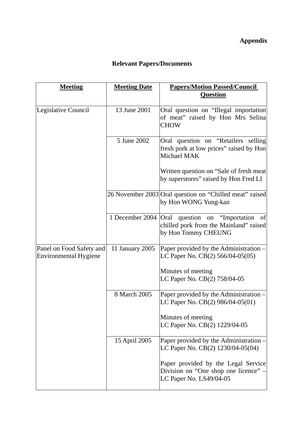# **Appendix**

# **Relevant Papers/Documents**

| <b>Meeting</b>                                           | <b>Meeting Date</b>    | <b>Papers/Motion Passed/Council</b>                                                                    |
|----------------------------------------------------------|------------------------|--------------------------------------------------------------------------------------------------------|
|                                                          |                        | <b>Question</b>                                                                                        |
| Legislative Council                                      | 13 June 2001           | Oral question on "Illegal importation<br>of meat" raised by Hon Mrs Selina<br><b>CHOW</b>              |
|                                                          | 5 June 2002            | Oral question on "Retailers selling<br>fresh pork at low prices" raised by Hon<br>Michael MAK          |
|                                                          |                        | Written question on "Sale of fresh meat"<br>by superstores" raised by Hon Fred LI                      |
|                                                          |                        | 26 November 2003 Oral question on "Chilled meat" raised<br>by Hon WONG Yung-kan                        |
|                                                          | 1 December 2004   Oral | question on<br>"Importation"<br>of<br>chilled pork from the Mainland" raised<br>by Hon Tommy CHEUNG    |
| Panel on Food Safety and<br><b>Environmental Hygiene</b> | 11 January 2005        | Paper provided by the Administration -<br>LC Paper No. CB(2) 566/04-05(05)                             |
|                                                          |                        | Minutes of meeting<br>LC Paper No. CB(2) 758/04-05                                                     |
|                                                          | 8 March 2005           | Paper provided by the Administration -<br>LC Paper No. CB(2) 986/04-05(01)                             |
|                                                          |                        | Minutes of meeting<br>LC Paper No. CB(2) 1229/04-05                                                    |
|                                                          | 15 April 2005          | Paper provided by the Administration -<br>LC Paper No. CB(2) 1230/04-05(04)                            |
|                                                          |                        | Paper provided by the Legal Service<br>Division on "One shop one licence" -<br>LC Paper No. LS49/04-05 |